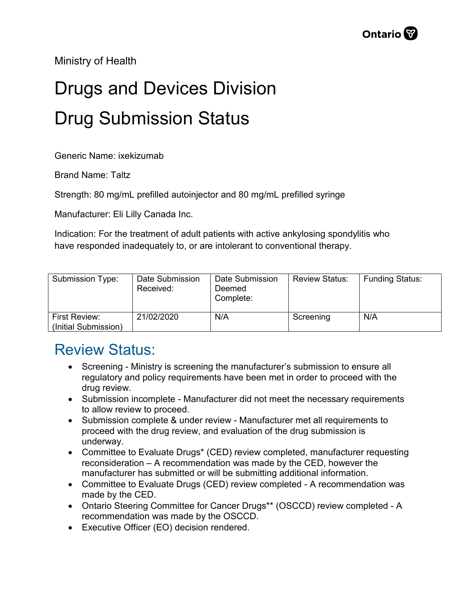Ministry of Health

## Drugs and Devices Division Drug Submission Status

Generic Name: ixekizumab

Brand Name: Taltz

Strength: 80 mg/mL prefilled autoinjector and 80 mg/mL prefilled syringe

Manufacturer: Eli Lilly Canada Inc.

Indication: For the treatment of adult patients with active ankylosing spondylitis who have responded inadequately to, or are intolerant to conventional therapy.

| Submission Type:                      | Date Submission<br>Received: | Date Submission<br>Deemed<br>Complete: | <b>Review Status:</b> | <b>Funding Status:</b> |
|---------------------------------------|------------------------------|----------------------------------------|-----------------------|------------------------|
| First Review:<br>(Initial Submission) | 21/02/2020                   | N/A                                    | Screening             | N/A                    |

## Review Status:

- Screening Ministry is screening the manufacturer's submission to ensure all regulatory and policy requirements have been met in order to proceed with the drug review.
- Submission incomplete Manufacturer did not meet the necessary requirements to allow review to proceed.
- Submission complete & under review Manufacturer met all requirements to proceed with the drug review, and evaluation of the drug submission is underway.
- Committee to Evaluate Drugs\* (CED) review completed, manufacturer requesting reconsideration – A recommendation was made by the CED, however the manufacturer has submitted or will be submitting additional information.
- Committee to Evaluate Drugs (CED) review completed A recommendation was made by the CED.
- Ontario Steering Committee for Cancer Drugs\*\* (OSCCD) review completed A recommendation was made by the OSCCD.
- Executive Officer (EO) decision rendered.